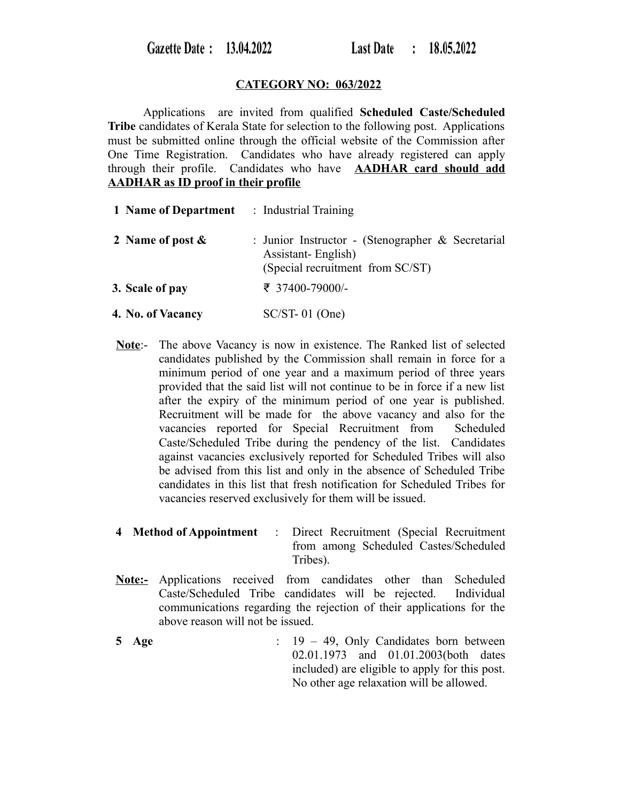# **CATEGORY NO: 063/2022**

Applications are invited from qualified **Scheduled Caste/Scheduled Tribe** candidates of Kerala State for selection to the following post. Applications must be submitted online through the official website of the Commission after One Time Registration. Candidates who have already registered can apply through their profile. Candidates who have **AADHAR card should add AADHAR as ID proof in their profile**

| <b>1 Name of Department</b> : Industrial Training |                                                                                                             |
|---------------------------------------------------|-------------------------------------------------------------------------------------------------------------|
| 2 Name of post $\&$                               | : Junior Instructor - (Stenographer & Secretarial<br>Assistant-English)<br>(Special recruitment from SC/ST) |
| 3. Scale of pay                                   | ₹ 37400-79000/-                                                                                             |
| 4. No. of Vacancy                                 | $SC/ST-01$ (One)                                                                                            |

- **Note**:- The above Vacancy is now in existence. The Ranked list of selected candidates published by the Commission shall remain in force for a minimum period of one year and a maximum period of three years provided that the said list will not continue to be in force if a new list after the expiry of the minimum period of one year is published. Recruitment will be made for the above vacancy and also for the vacancies reported for Special Recruitment from Scheduled Caste/Scheduled Tribe during the pendency of the list. Candidates against vacancies exclusively reported for Scheduled Tribes will also be advised from this list and only in the absence of Scheduled Tribe candidates in this list that fresh notification for Scheduled Tribes for vacancies reserved exclusively for them will be issued.
- **4 Method of Appointment** : Direct Recruitment (Special Recruitment from among Scheduled Castes/Scheduled Tribes).
- **Note:-** Applications received from candidates other than Scheduled Caste/Scheduled Tribe candidates will be rejected. Individual communications regarding the rejection of their applications for the above reason will not be issued.
- **5 Age** : 19 49, Only Candidates born between 02.01.1973 and 01.01.2003(both dates included) are eligible to apply for this post. No other age relaxation will be allowed.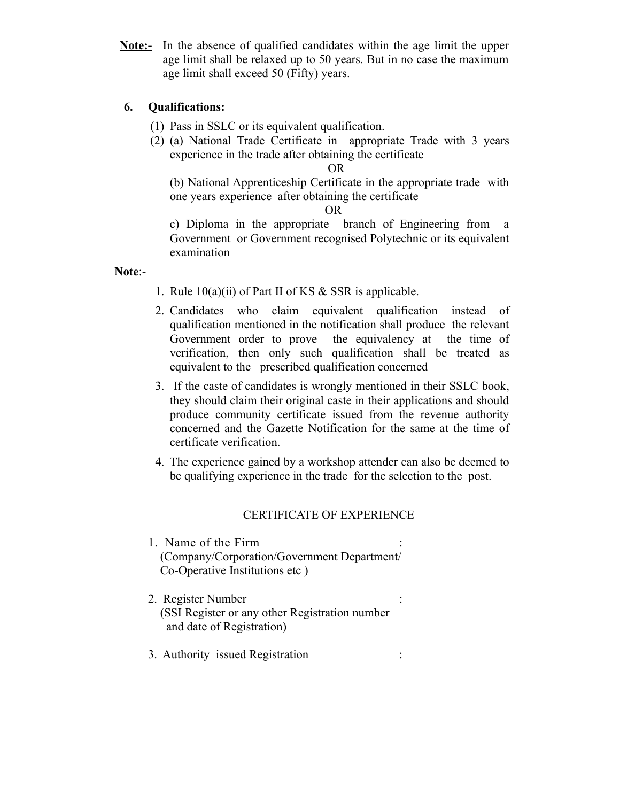**Note:-** In the absence of qualified candidates within the age limit the upper age limit shall be relaxed up to 50 years. But in no case the maximum age limit shall exceed 50 (Fifty) years.

# **6. Qualifications:**

- (1) Pass in SSLC or its equivalent qualification.
- (2) (a) National Trade Certificate in appropriate Trade with 3 years experience in the trade after obtaining the certificate

OR

(b) National Apprenticeship Certificate in the appropriate trade with one years experience after obtaining the certificate

OR

c) Diploma in the appropriate branch of Engineering from a Government or Government recognised Polytechnic or its equivalent examination

### **Note**:-

- 1. Rule 10(a)(ii) of Part II of KS & SSR is applicable.
- 2. Candidates who claim equivalent qualification instead of qualification mentioned in the notification shall produce the relevant Government order to prove the equivalency at the time of verification, then only such qualification shall be treated as equivalent to the prescribed qualification concerned
- 3. If the caste of candidates is wrongly mentioned in their SSLC book, they should claim their original caste in their applications and should produce community certificate issued from the revenue authority concerned and the Gazette Notification for the same at the time of certificate verification.
- 4. The experience gained by a workshop attender can also be deemed to be qualifying experience in the trade for the selection to the post.

### CERTIFICATE OF EXPERIENCE

- 1. Name of the Firm : (Company/Corporation/Government Department/ Co-Operative Institutions etc )
- 2. Register Number : (SSI Register or any other Registration number and date of Registration)
- 3. Authority issued Registration :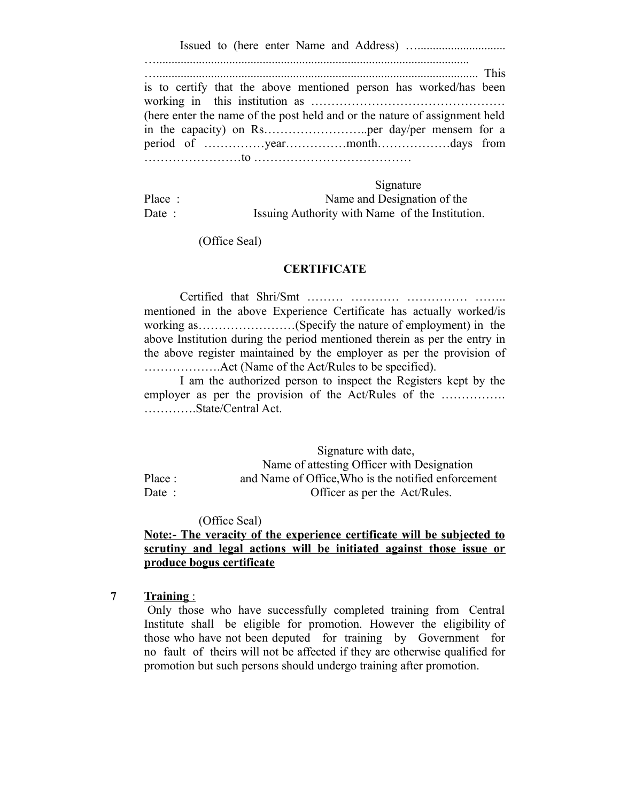Issued to (here enter Name and Address) ….............................

…....................................................................................................... ….......................................................................................................... This is to certify that the above mentioned person has worked/has been working in this institution as ………………………………………… (here enter the name of the post held and or the nature of assignment held in the capacity) on Rs………………………..per day/per mensem for a period of ……………year……………month………………days from ……………………to …………………………………

 Signature Place : Name and Designation of the Date : Issuing Authority with Name of the Institution.

(Office Seal)

#### **CERTIFICATE**

Certified that Shri/Smt ……… ………… …………… …….. mentioned in the above Experience Certificate has actually worked/is working as……………………(Specify the nature of employment) in the above Institution during the period mentioned therein as per the entry in the above register maintained by the employer as per the provision of ……………….Act (Name of the Act/Rules to be specified).

I am the authorized person to inspect the Registers kept by the employer as per the provision of the Act/Rules of the ................ ………….State/Central Act.

 Signature with date, Name of attesting Officer with Designation Place : and Name of Office, Who is the notified enforcement Date : Officer as per the Act/Rules.

(Office Seal)

# **Note:- The veracity of the experience certificate will be subjected to scrutiny and legal actions will be initiated against those issue or produce bogus certificate**

**7 Training** :

 Only those who have successfully completed training from Central Institute shall be eligible for promotion. However the eligibility of those who have not been deputed for training by Government for no fault of theirs will not be affected if they are otherwise qualified for promotion but such persons should undergo training after promotion.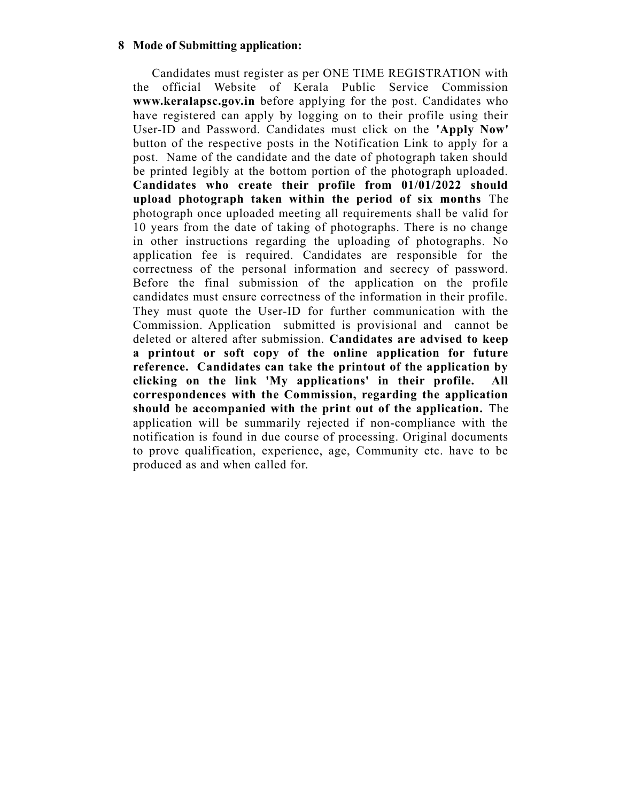### **8 Mode of Submitting application:**

 Candidates must register as per ONE TIME REGISTRATION with the official Website of Kerala Public Service Commission **www.keralapsc.gov.in** before applying for the post. Candidates who have registered can apply by logging on to their profile using their User-ID and Password. Candidates must click on the **'Apply Now'** button of the respective posts in the Notification Link to apply for a post. Name of the candidate and the date of photograph taken should be printed legibly at the bottom portion of the photograph uploaded. **Candidates who create their profile from 01/01/2022 should upload photograph taken within the period of six months** The photograph once uploaded meeting all requirements shall be valid for 10 years from the date of taking of photographs. There is no change in other instructions regarding the uploading of photographs. No application fee is required. Candidates are responsible for the correctness of the personal information and secrecy of password. Before the final submission of the application on the profile candidates must ensure correctness of the information in their profile. They must quote the User-ID for further communication with the Commission. Application submitted is provisional and cannot be deleted or altered after submission. **Candidates are advised to keep a printout or soft copy of the online application for future reference. Candidates can take the printout of the application by clicking on the link 'My applications' in their profile. All correspondences with the Commission, regarding the application should be accompanied with the print out of the application.** The application will be summarily rejected if non-compliance with the notification is found in due course of processing. Original documents to prove qualification, experience, age, Community etc. have to be produced as and when called for.